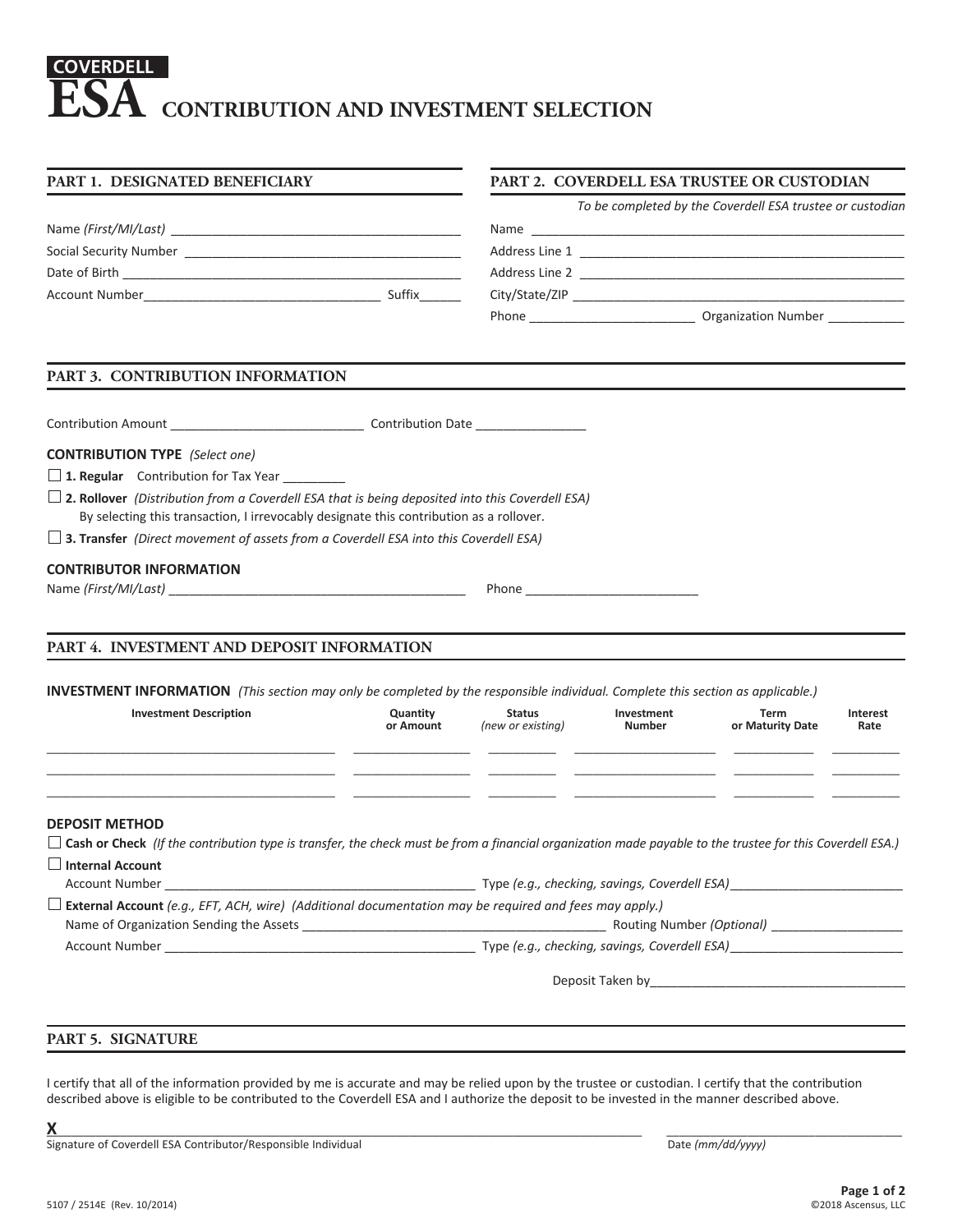# **CONTRIBUTION AND INVESTMENT SELECTION COVERDELL ESA**

| PART 1. DESIGNATED BENEFICIARY                                                                                                                                                                                                                                                                   | PART 2. COVERDELL ESA TRUSTEE OR CUSTODIAN |               |                                                                                                                                                                                                                                      |                                                           |                  |
|--------------------------------------------------------------------------------------------------------------------------------------------------------------------------------------------------------------------------------------------------------------------------------------------------|--------------------------------------------|---------------|--------------------------------------------------------------------------------------------------------------------------------------------------------------------------------------------------------------------------------------|-----------------------------------------------------------|------------------|
|                                                                                                                                                                                                                                                                                                  |                                            |               |                                                                                                                                                                                                                                      | To be completed by the Coverdell ESA trustee or custodian |                  |
|                                                                                                                                                                                                                                                                                                  |                                            |               |                                                                                                                                                                                                                                      |                                                           |                  |
|                                                                                                                                                                                                                                                                                                  |                                            |               |                                                                                                                                                                                                                                      |                                                           |                  |
|                                                                                                                                                                                                                                                                                                  |                                            |               |                                                                                                                                                                                                                                      |                                                           |                  |
|                                                                                                                                                                                                                                                                                                  |                                            |               |                                                                                                                                                                                                                                      |                                                           |                  |
|                                                                                                                                                                                                                                                                                                  |                                            |               |                                                                                                                                                                                                                                      |                                                           |                  |
| PART 3. CONTRIBUTION INFORMATION                                                                                                                                                                                                                                                                 |                                            |               |                                                                                                                                                                                                                                      |                                                           |                  |
|                                                                                                                                                                                                                                                                                                  |                                            |               |                                                                                                                                                                                                                                      |                                                           |                  |
| <b>CONTRIBUTION TYPE</b> (Select one)                                                                                                                                                                                                                                                            |                                            |               |                                                                                                                                                                                                                                      |                                                           |                  |
| $\Box$ 1. Regular Contribution for Tax Year _________                                                                                                                                                                                                                                            |                                            |               |                                                                                                                                                                                                                                      |                                                           |                  |
| $\Box$ 2. Rollover (Distribution from a Coverdell ESA that is being deposited into this Coverdell ESA)<br>By selecting this transaction, I irrevocably designate this contribution as a rollover.<br>$\Box$ 3. Transfer (Direct movement of assets from a Coverdell ESA into this Coverdell ESA) |                                            |               |                                                                                                                                                                                                                                      |                                                           |                  |
| <b>CONTRIBUTOR INFORMATION</b>                                                                                                                                                                                                                                                                   |                                            |               | Phone <b>and the contract of the contract of the contract of the contract of the contract of the contract of the contract of the contract of the contract of the contract of the contract of the contract of the contract of the</b> |                                                           |                  |
| PART 4. INVESTMENT AND DEPOSIT INFORMATION<br><b>INVESTMENT INFORMATION</b> (This section may only be completed by the responsible individual. Complete this section as applicable.)<br><b>Investment Description</b>                                                                            | Quantity<br>or Amount                      | <b>Status</b> | Investment<br>(new or existing) Number                                                                                                                                                                                               | Term<br>or Maturity Date                                  | Interest<br>Rate |
| <b>DEPOSIT METHOD</b><br>$\Box$ Cash or Check (If the contribution type is transfer, the check must be from a financial organization made payable to the trustee for this Coverdell ESA.)<br>$\Box$ Internal Account                                                                             |                                            |               |                                                                                                                                                                                                                                      |                                                           |                  |
| $\Box$ External Account (e.g., EFT, ACH, wire) (Additional documentation may be required and fees may apply.)                                                                                                                                                                                    |                                            |               |                                                                                                                                                                                                                                      |                                                           |                  |
|                                                                                                                                                                                                                                                                                                  |                                            |               |                                                                                                                                                                                                                                      |                                                           |                  |
|                                                                                                                                                                                                                                                                                                  |                                            |               |                                                                                                                                                                                                                                      |                                                           |                  |
|                                                                                                                                                                                                                                                                                                  |                                            |               |                                                                                                                                                                                                                                      |                                                           |                  |
|                                                                                                                                                                                                                                                                                                  |                                            |               |                                                                                                                                                                                                                                      |                                                           |                  |
|                                                                                                                                                                                                                                                                                                  |                                            |               |                                                                                                                                                                                                                                      |                                                           |                  |
| PART 5. SIGNATURE                                                                                                                                                                                                                                                                                |                                            |               |                                                                                                                                                                                                                                      |                                                           |                  |

I certify that all of the information provided by me is accurate and may be relied upon by the trustee or custodian. I certify that the contribution described above is eligible to be contributed to the Coverdell ESA and I authorize the deposit to be invested in the manner described above.

**X**\_\_\_\_\_\_\_\_\_\_\_\_\_\_\_\_\_\_\_\_\_\_\_\_\_\_\_\_\_\_\_\_\_\_\_\_\_\_\_\_\_\_\_\_\_\_\_\_\_\_\_\_\_\_\_\_\_\_\_\_\_\_\_\_\_\_\_\_\_\_\_\_\_\_\_\_\_\_\_\_\_\_\_\_\_\_\_\_\_\_\_\_\_\_\_\_\_ \_\_\_\_\_\_\_\_\_\_\_\_\_\_\_\_\_\_\_\_\_\_\_\_\_\_\_\_\_\_\_\_\_\_\_\_\_\_ Signature of Coverdell ESA Contributor/Responsible Individual Date *(mm/dd/yyyy)*